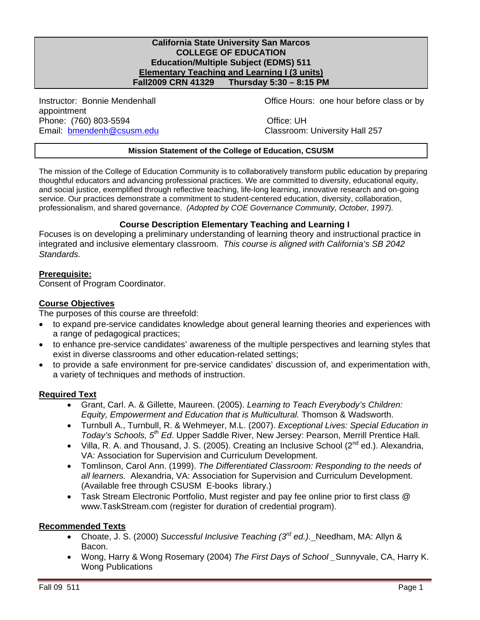#### **California State University San Marcos COLLEGE OF EDUCATION Education/Multiple Subject (EDMS) 511 Elementary Teaching and Learning I (3 units)**<br>Fall2009 CRN 41329 Thursday 5:30 - 8:15 PM **Fall2009 CRN 41329 Thursday 5:30 – 8:15 PM**

Email: **bmendenh@csusm.edu** Classroom: University Hall 257 appointment Phone: (760) 803-5594 Office: UH

Instructor: Bonnie Mendenhall Office Hours: one hour before class or by

#### **Mission Statement of the College of Education, CSUSM**

 professionalism, and shared governance. *(Adopted by COE Governance Community, October, 1997).*  The mission of the College of Education Community is to collaboratively transform public education by preparing thoughtful educators and advancing professional practices. We are committed to diversity, educational equity, and social justice, exemplified through reflective teaching, life-long learning, innovative research and on-going service. Our practices demonstrate a commitment to student-centered education, diversity, collaboration,

#### **Course Description Elementary Teaching and Learning I**

Focuses is on developing a preliminary understanding of learning theory and instructional practice in integrated and inclusive elementary classroom. *This course is aligned with California's SB 2042 Standards.* 

#### **Prerequisite:**

Consent of Program Coordinator.

#### **Course Objectives**

The purposes of this course are threefold:

- to expand pre-service candidates knowledge about general learning theories and experiences with a range of pedagogical practices;
- to enhance pre-service candidates' awareness of the multiple perspectives and learning styles that exist in diverse classrooms and other education-related settings;
- to provide a safe environment for pre-service candidates' discussion of, and experimentation with, a variety of techniques and methods of instruction.

# **Required Text**

- Grant, Carl. A. & Gillette, Maureen. (2005). *Learning to Teach Everybody's Children: Equity, Empowerment and Education that is Multicultural.* Thomson & Wadsworth.
- • Turnbull A., Turnbull, R. & Wehmeyer, M.L. (2007). *Exceptional Lives: Special Education in Today's Schools, 5th Ed*. Upper Saddle River, New Jersey: Pearson, Merrill Prentice Hall.
- Villa, R. A. and Thousand, J. S. (2005). Creating an Inclusive School ( $2^{nd}$  ed.). Alexandria, VA: Association for Supervision and Curriculum Development.
- • Tomlinson, Carol Ann. (1999). *The Differentiated Classroom: Responding to the needs of all learners.* Alexandria, VA: Association for Supervision and Curriculum Development. (Available free through CSUSM E-books library.)
- Task Stream Electronic Portfolio, Must register and pay fee online prior to first class @ www.TaskStream.com (register for duration of credential program).

# **Recommended Texts**

- • Choate, J. S. (2000) *Successful Inclusive Teaching (3rd ed.).* Needham, MA: Allyn & Bacon.
- Wong, Harry & Wong Rosemary (2004) *The First Days of School* Sunnyvale, CA, Harry K. Wong Publications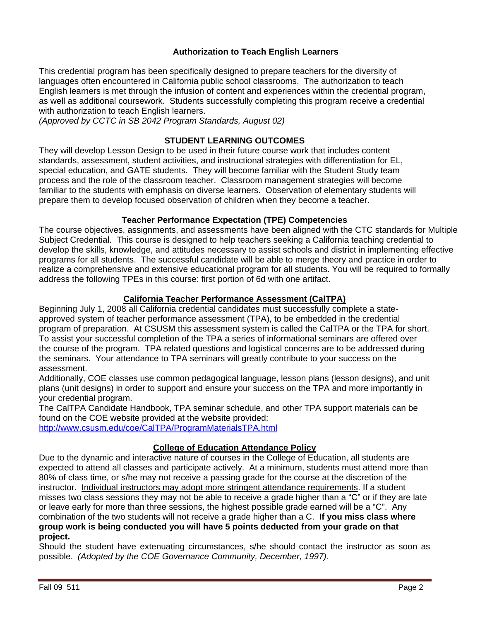# **Authorization to Teach English Learners**

This credential program has been specifically designed to prepare teachers for the diversity of languages often encountered in California public school classrooms. The authorization to teach English learners is met through the infusion of content and experiences within the credential program, as well as additional coursework. Students successfully completing this program receive a credential with authorization to teach English learners.

*(Approved by CCTC in SB 2042 Program Standards, August 02)* 

# **STUDENT LEARNING OUTCOMES**

They will develop Lesson Design to be used in their future course work that includes content standards, assessment, student activities, and instructional strategies with differentiation for EL, special education, and GATE students. They will become familiar with the Student Study team process and the role of the classroom teacher. Classroom management strategies will become familiar to the students with emphasis on diverse learners. Observation of elementary students will prepare them to develop focused observation of children when they become a teacher.

# **Teacher Performance Expectation (TPE) Competencies**

The course objectives, assignments, and assessments have been aligned with the CTC standards for Multiple Subject Credential. This course is designed to help teachers seeking a California teaching credential to develop the skills, knowledge, and attitudes necessary to assist schools and district in implementing effective programs for all students. The successful candidate will be able to merge theory and practice in order to realize a comprehensive and extensive educational program for all students. You will be required to formally address the following TPEs in this course: first portion of 6d with one artifact.

# **California Teacher Performance Assessment (CalTPA)**

Beginning July 1, 2008 all California credential candidates must successfully complete a stateapproved system of teacher performance assessment (TPA), to be embedded in the credential program of preparation. At CSUSM this assessment system is called the CalTPA or the TPA for short. To assist your successful completion of the TPA a series of informational seminars are offered over the course of the program. TPA related questions and logistical concerns are to be addressed during the seminars. Your attendance to TPA seminars will greatly contribute to your success on the assessment.

Additionally, COE classes use common pedagogical language, lesson plans (lesson designs), and unit plans (unit designs) in order to support and ensure your success on the TPA and more importantly in your credential program.

The CalTPA Candidate Handbook, TPA seminar schedule, and other TPA support materials can be found on the COE website provided at the website provided:

http://www.csusm.edu/coe/CalTPA/ProgramMaterialsTPA.html

# **College of Education Attendance Policy**

Due to the dynamic and interactive nature of courses in the College of Education, all students are expected to attend all classes and participate actively. At a minimum, students must attend more than 80% of class time, or s/he may not receive a passing grade for the course at the discretion of the instructor. Individual instructors may adopt more stringent attendance requirements. If a student misses two class sessions they may not be able to receive a grade higher than a "C" or if they are late or leave early for more than three sessions, the highest possible grade earned will be a "C". Any combination of the two students will not receive a grade higher than a C. **If you miss class where group work is being conducted you will have 5 points deducted from your grade on that project.** 

 possible. *(Adopted by the COE Governance Community, December, 1997).*  Should the student have extenuating circumstances, s/he should contact the instructor as soon as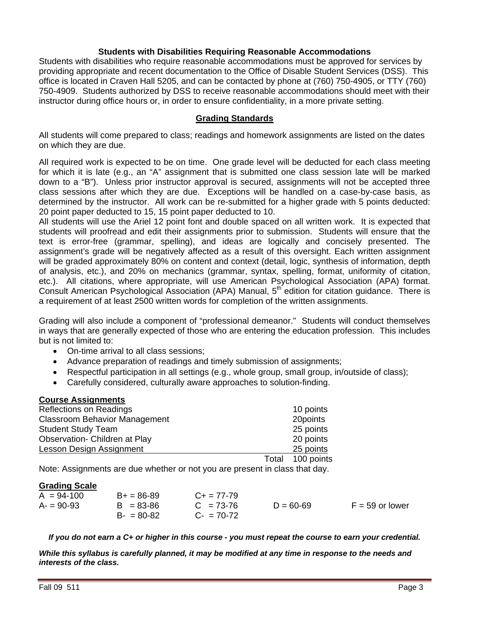# **Students with Disabilities Requiring Reasonable Accommodations**

Students with disabilities who require reasonable accommodations must be approved for services by providing appropriate and recent documentation to the Office of Disable Student Services (DSS). This office is located in Craven Hall 5205, and can be contacted by phone at (760) 750-4905, or TTY (760) 750-4909. Students authorized by DSS to receive reasonable accommodations should meet with their instructor during office hours or, in order to ensure confidentiality, in a more private setting.

#### **Grading Standards**

All students will come prepared to class; readings and homework assignments are listed on the dates on which they are due.

determined by the instructor. All work can be re-submitted for a higher grade with 5 points deducted:<br>20 point paper deducted to 15, 15 point paper deducted to 10. All required work is expected to be on time. One grade level will be deducted for each class meeting for which it is late (e.g., an "A" assignment that is submitted one class session late will be marked down to a "B"). Unless prior instructor approval is secured, assignments will not be accepted three class sessions after which they are due. Exceptions will be handled on a case-by-case basis, as

etc.). All citations, where appropriate, will use American Psychological Association (APA) format. All students will use the Ariel 12 point font and double spaced on all written work. It is expected that students will proofread and edit their assignments prior to submission. Students will ensure that the text is error-free (grammar, spelling), and ideas are logically and concisely presented. The assignment's grade will be negatively affected as a result of this oversight. Each written assignment will be graded approximately 80% on content and context (detail, logic, synthesis of information, depth of analysis, etc.), and 20% on mechanics (grammar, syntax, spelling, format, uniformity of citation, Consult American Psychological Association (APA) Manual, 5<sup>th</sup> edition for citation guidance. There is a requirement of at least 2500 written words for completion of the written assignments.

Grading will also include a component of "professional demeanor." Students will conduct themselves in ways that are generally expected of those who are entering the education profession. This includes but is not limited to:

- On-time arrival to all class sessions;
- Advance preparation of readings and timely submission of assignments;
- Respectful participation in all settings (e.g., whole group, small group, in/outside of class);
- Carefully considered, culturally aware approaches to solution-finding.

#### **Course Assignments**

| <b>Reflections on Readings</b>       |       | 10 points  |
|--------------------------------------|-------|------------|
| <b>Classroom Behavior Management</b> |       | 20points   |
| <b>Student Study Team</b>            |       | 25 points  |
| Observation- Children at Play        |       | 20 points  |
| Lesson Design Assignment             |       | 25 points  |
|                                      | Total | 100 points |

Note: Assignments are due whether or not you are present in class that day.

#### **Grading Scale**

| $A = 94-100$ | $B+ = 86-89$  | $C_{\pm} = 77 - 79$ |               |                   |
|--------------|---------------|---------------------|---------------|-------------------|
| $A = 90-93$  | $B = 83 - 86$ | $C = 73-76$         | $D = 60 - 69$ | $F = 59$ or lower |
|              | $B - 80 - 82$ | $C - 70-72$         |               |                   |

*If you do not earn a C+ or higher in this course - you must repeat the course to earn your credential.* 

*While this syllabus is carefully planned, it may be modified at any time in response to the needs and interests of the class.*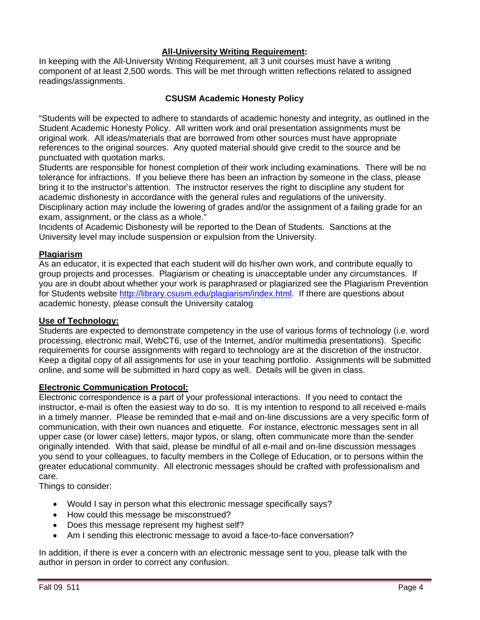# **All-University Writing Requirement:**

In keeping with the All-University Writing Requirement, all 3 unit courses must have a writing component of at least 2,500 words. This will be met through written reflections related to assigned readings/assignments.

# **CSUSM Academic Honesty Policy**

"Students will be expected to adhere to standards of academic honesty and integrity, as outlined in the Student Academic Honesty Policy. All written work and oral presentation assignments must be original work. All ideas/materials that are borrowed from other sources must have appropriate references to the original sources. Any quoted material should give credit to the source and be punctuated with quotation marks.

Students are responsible for honest completion of their work including examinations. There will be no tolerance for infractions. If you believe there has been an infraction by someone in the class, please bring it to the instructor's attention. The instructor reserves the right to discipline any student for academic dishonesty in accordance with the general rules and regulations of the university. Disciplinary action may include the lowering of grades and/or the assignment of a failing grade for an exam, assignment, or the class as a whole."

Incidents of Academic Dishonesty will be reported to the Dean of Students. Sanctions at the University level may include suspension or expulsion from the University.

# **Plagiarism**

As an educator, it is expected that each student will do his/her own work, and contribute equally to group projects and processes. Plagiarism or cheating is unacceptable under any circumstances. If you are in doubt about whether your work is paraphrased or plagiarized see the Plagiarism Prevention for Students website http://library.csusm.edu/plagiarism/index.html. If there are questions about academic honesty, please consult the University catalog

#### **Use of Technology:**

Students are expected to demonstrate competency in the use of various forms of technology (i.e. word processing, electronic mail, WebCT6, use of the Internet, and/or multimedia presentations). Specific requirements for course assignments with regard to technology are at the discretion of the instructor. Keep a digital copy of all assignments for use in your teaching portfolio. Assignments will be submitted online, and some will be submitted in hard copy as well. Details will be given in class.

# **Electronic Communication Protocol:**

Electronic correspondence is a part of your professional interactions. If you need to contact the instructor, e-mail is often the easiest way to do so. It is my intention to respond to all received e-mails in a timely manner. Please be reminded that e-mail and on-line discussions are a very specific form of communication, with their own nuances and etiquette. For instance, electronic messages sent in all upper case (or lower case) letters, major typos, or slang, often communicate more than the sender originally intended. With that said, please be mindful of all e-mail and on-line discussion messages you send to your colleagues, to faculty members in the College of Education, or to persons within the greater educational community. All electronic messages should be crafted with professionalism and care.

Things to consider:

- Would I say in person what this electronic message specifically says?
- How could this message be misconstrued?
- Does this message represent my highest self?
- Am I sending this electronic message to avoid a face-to-face conversation?

In addition, if there is ever a concern with an electronic message sent to you, please talk with the author in person in order to correct any confusion.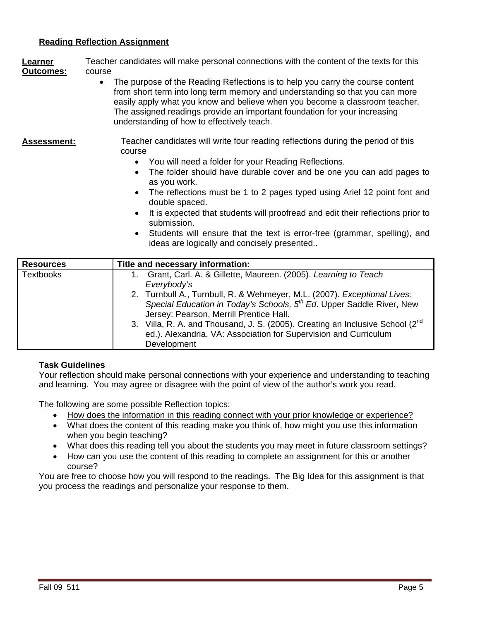# **Reading Reflection Assignment**

**Learner** Teacher candidates will make personal connections with the content of the texts for this **Outcomes:** course

• The purpose of the Reading Reflections is to help you carry the course content from short term into long term memory and understanding so that you can more easily apply what you know and believe when you become a classroom teacher. The assigned readings provide an important foundation for your increasing understanding of how to effectively teach.

#### Assessment: Teacher candidates will write four reading reflections during the period of this course

- You will need a folder for your Reading Reflections.
- The folder should have durable cover and be one you can add pages to as you work.
- The reflections must be 1 to 2 pages typed using Ariel 12 point font and double spaced.
- It is expected that students will proofread and edit their reflections prior to submission.
- • Students will ensure that the text is error-free (grammar, spelling), and ideas are logically and concisely presented..

| <b>Resources</b> | Title and necessary information:                                                                                                                                                                         |
|------------------|----------------------------------------------------------------------------------------------------------------------------------------------------------------------------------------------------------|
| <b>Textbooks</b> | Grant, Carl. A. & Gillette, Maureen. (2005). Learning to Teach<br>Everybody's                                                                                                                            |
|                  | 2. Turnbull A., Turnbull, R. & Wehmeyer, M.L. (2007). Exceptional Lives:<br>Special Education in Today's Schools, 5 <sup>th</sup> Ed. Upper Saddle River, New<br>Jersey: Pearson, Merrill Prentice Hall. |
|                  | 3. Villa, R. A. and Thousand, J. S. (2005). Creating an Inclusive School (2 <sup>nd</sup> )<br>ed.). Alexandria, VA: Association for Supervision and Curriculum<br>Development                           |

#### **Task Guidelines**

Your reflection should make personal connections with your experience and understanding to teaching and learning. You may agree or disagree with the point of view of the author's work you read.

The following are some possible Reflection topics:

- How does the information in this reading connect with your prior knowledge or experience?
- What does the content of this reading make you think of, how might you use this information when you begin teaching?
- What does this reading tell you about the students you may meet in future classroom settings?
- How can you use the content of this reading to complete an assignment for this or another course?

You are free to choose how you will respond to the readings. The Big Idea for this assignment is that you process the readings and personalize your response to them.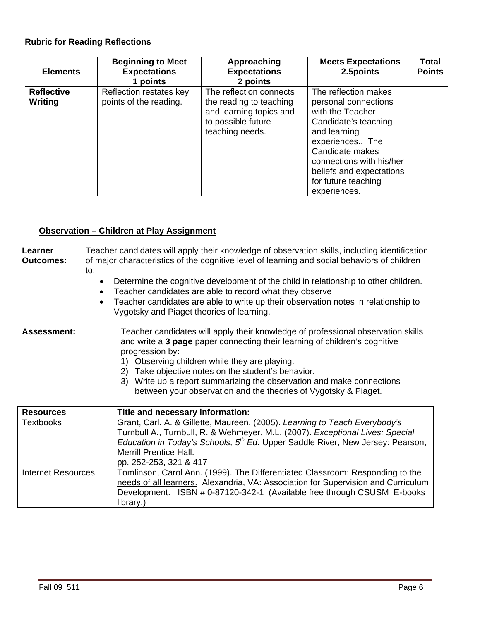# **Rubric for Reading Reflections**

| <b>Elements</b>              | <b>Beginning to Meet</b><br><b>Expectations</b><br>1 points | Approaching<br><b>Expectations</b><br>2 points                                                                         | <b>Meets Expectations</b><br>2.5points                                                                                                                                     | <b>Total</b><br><b>Points</b> |
|------------------------------|-------------------------------------------------------------|------------------------------------------------------------------------------------------------------------------------|----------------------------------------------------------------------------------------------------------------------------------------------------------------------------|-------------------------------|
| <b>Reflective</b><br>Writing | Reflection restates key<br>points of the reading.           | The reflection connects<br>the reading to teaching<br>and learning topics and<br>to possible future<br>teaching needs. | The reflection makes<br>personal connections<br>with the Teacher<br>Candidate's teaching<br>and learning<br>experiences The<br>Candidate makes<br>connections with his/her |                               |
|                              |                                                             |                                                                                                                        | beliefs and expectations<br>for future teaching<br>experiences.                                                                                                            |                               |

#### **Observation – Children at Play Assignment**

#### **Learner** Teacher candidates will apply their knowledge of observation skills, including identification **Outcomes:** of major characteristics of the cognitive level of learning and social behaviors of children to:

- Determine the cognitive development of the child in relationship to other children.
- • Teacher candidates are able to record what they observe
- • Teacher candidates are able to write up their observation notes in relationship to Vygotsky and Piaget theories of learning.

Assessment: Teacher candidates will apply their knowledge of professional observation skills and write a **3 page** paper connecting their learning of children's cognitive progression by:

- 1) Observing children while they are playing.
- 2) Take objective notes on the student's behavior.
- 3) Write up a report summarizing the observation and make connections between your observation and the theories of Vygotsky & Piaget.

| <b>Resources</b>          | Title and necessary information:                                                           |  |  |  |  |
|---------------------------|--------------------------------------------------------------------------------------------|--|--|--|--|
| <b>Textbooks</b>          | Grant, Carl. A. & Gillette, Maureen. (2005). Learning to Teach Everybody's                 |  |  |  |  |
|                           | Turnbull A., Turnbull, R. & Wehmeyer, M.L. (2007). Exceptional Lives: Special              |  |  |  |  |
|                           | Education in Today's Schools, 5 <sup>th</sup> Ed. Upper Saddle River, New Jersey: Pearson, |  |  |  |  |
|                           | <b>Merrill Prentice Hall.</b>                                                              |  |  |  |  |
|                           | pp. 252-253, 321 & 417                                                                     |  |  |  |  |
| <b>Internet Resources</b> | Tomlinson, Carol Ann. (1999). The Differentiated Classroom: Responding to the              |  |  |  |  |
|                           | needs of all learners. Alexandria, VA: Association for Supervision and Curriculum          |  |  |  |  |
|                           | Development. ISBN # 0-87120-342-1 (Available free through CSUSM E-books                    |  |  |  |  |
|                           | library.)                                                                                  |  |  |  |  |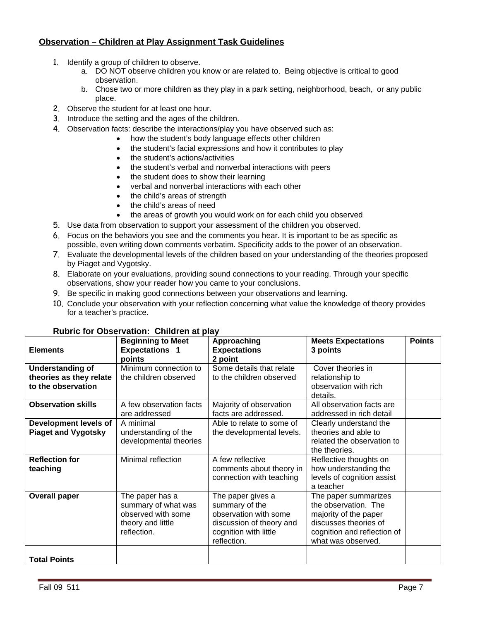# **Observation – Children at Play Assignment Task Guidelines**

- 1. Identify a group of children to observe.
	- a. DO NOT observe children you know or are related to. Being objective is critical to good observation.
	- b. Chose two or more children as they play in a park setting, neighborhood, beach, or any public place.
- 2. Observe the student for at least one hour.
- 3. Introduce the setting and the ages of the children.
- 4. Observation facts: describe the interactions/play you have observed such as:
	- how the student's body language effects other children
		- the student's facial expressions and how it contributes to play
		- the student's actions/activities
		- the student's verbal and nonverbal interactions with peers
	- the student does to show their learning
	- verbal and nonverbal interactions with each other
	- the child's areas of strength
	- the child's areas of need
	- the areas of growth you would work on for each child you observed
- 5. Use data from observation to support your assessment of the children you observed.
- 6. Focus on the behaviors you see and the comments you hear. It is important to be as specific as possible, even writing down comments verbatim. Specificity adds to the power of an observation.
- 7. Evaluate the developmental levels of the children based on your understanding of the theories proposed by Piaget and Vygotsky.
- 8. Elaborate on your evaluations, providing sound connections to your reading. Through your specific observations, show your reader how you came to your conclusions.
- 9. Be specific in making good connections between your observations and learning.
- 10. Conclude your observation with your reflection concerning what value the knowledge of theory provides for a teacher's practice.

| <b>Rubric for Observation: Children at play</b>                          |                                                                                                  |                                                                                                                                  |                                                                                                                                                     |               |
|--------------------------------------------------------------------------|--------------------------------------------------------------------------------------------------|----------------------------------------------------------------------------------------------------------------------------------|-----------------------------------------------------------------------------------------------------------------------------------------------------|---------------|
| <b>Elements</b>                                                          | <b>Beginning to Meet</b><br><b>Expectations 1</b><br>points                                      | Approaching<br><b>Expectations</b><br>2 point                                                                                    | <b>Meets Expectations</b><br>3 points                                                                                                               | <b>Points</b> |
| <b>Understanding of</b><br>theories as they relate<br>to the observation | Minimum connection to<br>the children observed                                                   | Some details that relate<br>to the children observed                                                                             | Cover theories in<br>relationship to<br>observation with rich<br>details.                                                                           |               |
| <b>Observation skills</b>                                                | A few observation facts<br>are addressed                                                         | Majority of observation<br>facts are addressed.                                                                                  | All observation facts are<br>addressed in rich detail                                                                                               |               |
| Development levels of<br><b>Piaget and Vygotsky</b>                      | A minimal<br>understanding of the<br>developmental theories                                      | Able to relate to some of<br>the developmental levels.                                                                           | Clearly understand the<br>theories and able to<br>related the observation to<br>the theories.                                                       |               |
| <b>Reflection for</b><br>teaching                                        | Minimal reflection                                                                               | A few reflective<br>comments about theory in<br>connection with teaching                                                         | Reflective thoughts on<br>how understanding the<br>levels of cognition assist<br>a teacher                                                          |               |
| <b>Overall paper</b>                                                     | The paper has a<br>summary of what was<br>observed with some<br>theory and little<br>reflection. | The paper gives a<br>summary of the<br>observation with some<br>discussion of theory and<br>cognition with little<br>reflection. | The paper summarizes<br>the observation. The<br>majority of the paper<br>discusses theories of<br>cognition and reflection of<br>what was observed. |               |
| <b>Total Points</b>                                                      |                                                                                                  |                                                                                                                                  |                                                                                                                                                     |               |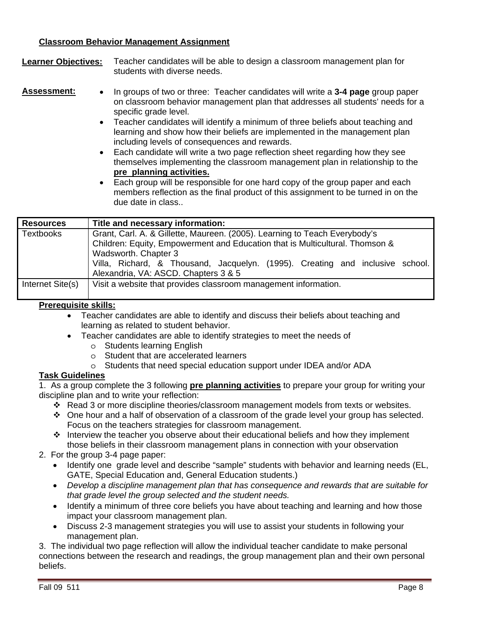# **Classroom Behavior Management Assignment**

**Learner Objectives:** Teacher candidates will be able to design a classroom management plan for students with diverse needs.

- **Assessment:** • In groups of two or three: Teacher candidates will write a **3-4 page** group paper on classroom behavior management plan that addresses all students' needs for a specific grade level.
	- Teacher candidates will identify a minimum of three beliefs about teaching and learning and show how their beliefs are implemented in the management plan including levels of consequences and rewards.
	- **pre planning activities.** • Each candidate will write a two page reflection sheet regarding how they see themselves implementing the classroom management plan in relationship to the
	- Each group will be responsible for one hard copy of the group paper and each members reflection as the final product of this assignment to be turned in on the due date in class..

| <b>Resources</b> | Title and necessary information:                                                                                                                                                   |  |  |
|------------------|------------------------------------------------------------------------------------------------------------------------------------------------------------------------------------|--|--|
| <b>Textbooks</b> | Grant, Carl. A. & Gillette, Maureen. (2005). Learning to Teach Everybody's<br>Children: Equity, Empowerment and Education that is Multicultural. Thomson &<br>Wadsworth. Chapter 3 |  |  |
|                  | Villa, Richard, & Thousand, Jacquelyn. (1995). Creating and inclusive school.<br>Alexandria, VA: ASCD. Chapters 3 & 5                                                              |  |  |
| Internet Site(s) | Visit a website that provides classroom management information.                                                                                                                    |  |  |

# **Prerequisite skills:**

- Teacher candidates are able to identify and discuss their beliefs about teaching and learning as related to student behavior.
- Teacher candidates are able to identify strategies to meet the needs of
	- o Students learning English
	- o Student that are accelerated learners
	- o Students that need special education support under IDEA and/or ADA

# **Task Guidelines**

1. As a group complete the 3 following **pre planning activities** to prepare your group for writing your discipline plan and to write your reflection:

- Read 3 or more discipline theories/classroom management models from texts or websites.
- One hour and a half of observation of a classroom of the grade level your group has selected. Focus on the teachers strategies for classroom management.
- \* Interview the teacher you observe about their educational beliefs and how they implement those beliefs in their classroom management plans in connection with your observation
- 2. For the group 3-4 page paper:
	- GATE, Special Education and, General Education students.) • Identify one grade level and describe "sample" students with behavior and learning needs (EL,
	- • *Develop a discipline management plan that has consequence and rewards that are suitable for that grade level the group selected and the student needs.*
	- Identify a minimum of three core beliefs you have about teaching and learning and how those impact your classroom management plan.
	- Discuss 2-3 management strategies you will use to assist your students in following your management plan.

3. The individual two page reflection will allow the individual teacher candidate to make personal connections between the research and readings, the group management plan and their own personal beliefs.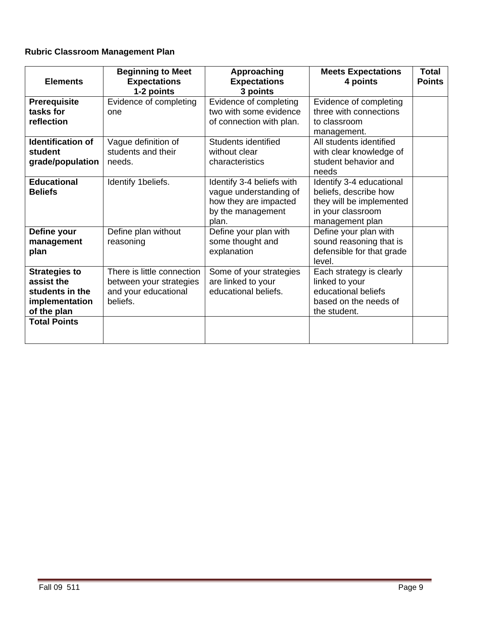# **Rubric Classroom Management Plan**

| <b>Elements</b>                                                                        | <b>Beginning to Meet</b><br><b>Expectations</b><br>1-2 points                             | Approaching<br><b>Expectations</b><br>3 points                                                             | <b>Meets Expectations</b><br>4 points                                                                                 | <b>Total</b><br><b>Points</b> |
|----------------------------------------------------------------------------------------|-------------------------------------------------------------------------------------------|------------------------------------------------------------------------------------------------------------|-----------------------------------------------------------------------------------------------------------------------|-------------------------------|
| Prerequisite<br>tasks for<br>reflection                                                | Evidence of completing<br>one                                                             | Evidence of completing<br>two with some evidence<br>of connection with plan.                               | Evidence of completing<br>three with connections<br>to classroom<br>management.                                       |                               |
| <b>Identification of</b><br>student<br>grade/population                                | Vague definition of<br>students and their<br>needs.                                       | Students identified<br>without clear<br>characteristics                                                    | All students identified<br>with clear knowledge of<br>student behavior and<br>needs                                   |                               |
| <b>Educational</b><br><b>Beliefs</b>                                                   | Identify 1beliefs.                                                                        | Identify 3-4 beliefs with<br>vague understanding of<br>how they are impacted<br>by the management<br>plan. | Identify 3-4 educational<br>beliefs, describe how<br>they will be implemented<br>in your classroom<br>management plan |                               |
| Define your<br>management<br>plan                                                      | Define plan without<br>reasoning                                                          | Define your plan with<br>some thought and<br>explanation                                                   | Define your plan with<br>sound reasoning that is<br>defensible for that grade<br>level.                               |                               |
| <b>Strategies to</b><br>assist the<br>students in the<br>implementation<br>of the plan | There is little connection<br>between your strategies<br>and your educational<br>beliefs. | Some of your strategies<br>are linked to your<br>educational beliefs.                                      | Each strategy is clearly<br>linked to your<br>educational beliefs<br>based on the needs of<br>the student.            |                               |
| <b>Total Points</b>                                                                    |                                                                                           |                                                                                                            |                                                                                                                       |                               |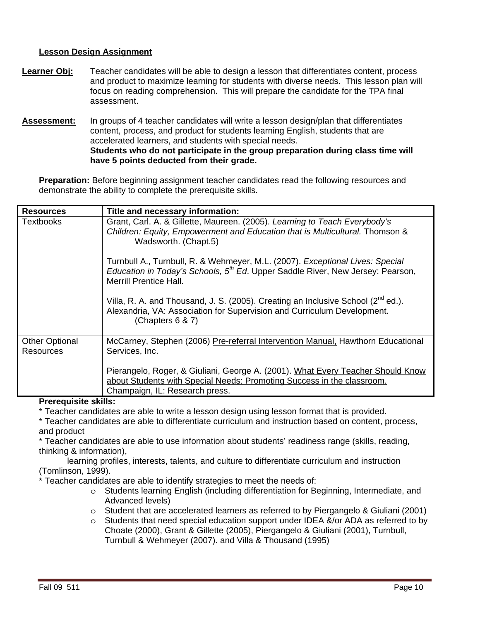# **Lesson Design Assignment**

- **Learner Obj:** Teacher candidates will be able to design a lesson that differentiates content, process and product to maximize learning for students with diverse needs. This lesson plan will focus on reading comprehension. This will prepare the candidate for the TPA final assessment.
- have 5 points deducted from their grade. **Assessment:** In groups of 4 teacher candidates will write a lesson design/plan that differentiates content, process, and product for students learning English, students that are accelerated learners, and students with special needs. **Students who do not participate in the group preparation during class time will**

**Preparation:** Before beginning assignment teacher candidates read the following resources and demonstrate the ability to complete the prerequisite skills.

| <b>Resources</b>                          | Title and necessary information:                                                                                                                                                                             |
|-------------------------------------------|--------------------------------------------------------------------------------------------------------------------------------------------------------------------------------------------------------------|
| Textbooks                                 | Grant, Carl. A. & Gillette, Maureen. (2005). Learning to Teach Everybody's<br>Children: Equity, Empowerment and Education that is Multicultural. Thomson &<br>Wadsworth. (Chapt.5)                           |
|                                           | Turnbull A., Turnbull, R. & Wehmeyer, M.L. (2007). Exceptional Lives: Special<br>Education in Today's Schools, 5 <sup>th</sup> Ed. Upper Saddle River, New Jersey: Pearson,<br><b>Merrill Prentice Hall.</b> |
|                                           | Villa, R. A. and Thousand, J. S. (2005). Creating an Inclusive School (2 <sup>nd</sup> ed.).<br>Alexandria, VA: Association for Supervision and Curriculum Development.<br>(Chapters $6 & 7$ )               |
| <b>Other Optional</b><br><b>Resources</b> | McCarney, Stephen (2006) Pre-referral Intervention Manual, Hawthorn Educational<br>Services, Inc.                                                                                                            |
|                                           | Pierangelo, Roger, & Giuliani, George A. (2001). What Every Teacher Should Know<br>about Students with Special Needs: Promoting Success in the classroom.<br>Champaign, IL: Research press.                  |

#### **Prerequisite skills:**

\* Teacher candidates are able to write a lesson design using lesson format that is provided.

\* Teacher candidates are able to differentiate curriculum and instruction based on content, process, and product

\* Teacher candidates are able to use information about students' readiness range (skills, reading, thinking & information),

learning profiles, interests, talents, and culture to differentiate curriculum and instruction (Tomlinson, 1999).

\* Teacher candidates are able to identify strategies to meet the needs of:

- o Students learning English (including differentiation for Beginning, Intermediate, and Advanced levels)
- $\circ$  Student that are accelerated learners as referred to by Piergangelo & Giuliani (2001)
- o Students that need special education support under IDEA &/or ADA as referred to by Choate (2000), Grant & Gillette (2005), Piergangelo & Giuliani (2001), Turnbull, Turnbull & Wehmeyer (2007). and Villa & Thousand (1995)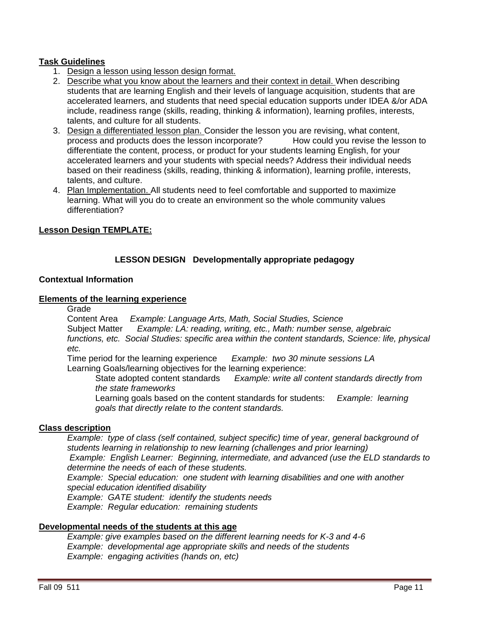# **Task Guidelines**

- 1. Design a lesson using lesson design format.
- 2. Describe what you know about the learners and their context in detail. When describing students that are learning English and their levels of language acquisition, students that are accelerated learners, and students that need special education supports under IDEA &/or ADA include, readiness range (skills, reading, thinking & information), learning profiles, interests, talents, and culture for all students.
- 3. Design a differentiated lesson plan. Consider the lesson you are revising, what content, process and products does the lesson incorporate? How could you revise the lesson to differentiate the content, process, or product for your students learning English, for your accelerated learners and your students with special needs? Address their individual needs based on their readiness (skills, reading, thinking & information), learning profile, interests, talents, and culture.
- 4. Plan Implementation. All students need to feel comfortable and supported to maximize learning. What will you do to create an environment so the whole community values differentiation?

# **Lesson Design TEMPLATE:**

# **LESSON DESIGN Developmentally appropriate pedagogy**

#### **Contextual Information**

#### **Elements of the learning experience**

Grade

Content Area *Example: Language Arts, Math, Social Studies, Science*  Subject Matter *Example: LA: reading, writing, etc., Math: number sense, algebraic functions, etc. Social Studies: specific area within the content standards, Science: life, physical etc.* 

Time period for the learning experience *Example: two 30 minute sessions LA*  Learning Goals/learning objectives for the learning experience:

State adopted content standards *Example: write all content standards directly from the state frameworks* 

 Learning goals based on the content standards for students: *Example: learning goals that directly relate to the content standards.* 

# **Class description**

*Example: type of class (self contained, subject specific) time of year, general background of students learning in relationship to new learning (challenges and prior learning) Example: English Learner: Beginning, intermediate, and advanced (use the ELD standards to determine the needs of each of these students. Example: Special education: one student with learning disabilities and one with another special education identified disability* 

*Example: GATE student: identify the students needs* 

*Example: Regular education: remaining students* 

# **Developmental needs of the students at this age**

*Example: give examples based on the different learning needs for K-3 and 4-6 Example: developmental age appropriate skills and needs of the students Example: engaging activities (hands on, etc)*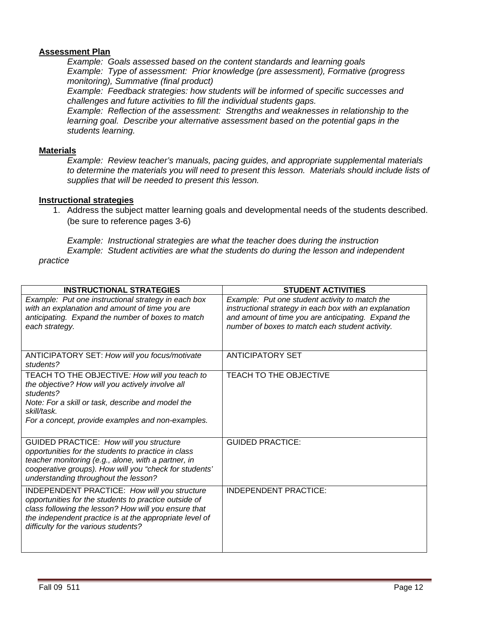# **Assessment Plan**

*Example: Goals assessed based on the content standards and learning goals Example: Type of assessment: Prior knowledge (pre assessment), Formative (progress monitoring), Summative (final product)* 

*Example: Feedback strategies: how students will be informed of specific successes and challenges and future activities to fill the individual students gaps.* 

*Example: Reflection of the assessment: Strengths and weaknesses in relationship to the learning goal. Describe your alternative assessment based on the potential gaps in the students learning.* 

#### **Materials**

*Example: Review teacher's manuals, pacing guides, and appropriate supplemental materials to determine the materials you will need to present this lesson. Materials should include lists of supplies that will be needed to present this lesson.* 

#### **Instructional strategies**

1. Address the subject matter learning goals and developmental needs of the students described. (be sure to reference pages 3-6)

*Example: Instructional strategies are what the teacher does during the instruction Example: Student activities are what the students do during the lesson and independent practice* 

| <b>INSTRUCTIONAL STRATEGIES</b>                                                                                                                                                                                                                                  | <b>STUDENT ACTIVITIES</b>                                                                                                                                                                                          |
|------------------------------------------------------------------------------------------------------------------------------------------------------------------------------------------------------------------------------------------------------------------|--------------------------------------------------------------------------------------------------------------------------------------------------------------------------------------------------------------------|
| Example: Put one instructional strategy in each box<br>with an explanation and amount of time you are<br>anticipating. Expand the number of boxes to match<br>each strategy.                                                                                     | Example: Put one student activity to match the<br>instructional strategy in each box with an explanation<br>and amount of time you are anticipating. Expand the<br>number of boxes to match each student activity. |
| ANTICIPATORY SET: How will you focus/motivate<br>students?                                                                                                                                                                                                       | <b>ANTICIPATORY SET</b>                                                                                                                                                                                            |
| TEACH TO THE OBJECTIVE: How will you teach to<br>the objective? How will you actively involve all<br>students?<br>Note: For a skill or task, describe and model the<br>skill/task.<br>For a concept, provide examples and non-examples.                          | TEACH TO THE OBJECTIVE                                                                                                                                                                                             |
| GUIDED PRACTICE: How will you structure<br>opportunities for the students to practice in class<br>teacher monitoring (e.g., alone, with a partner, in<br>cooperative groups). How will you "check for students'<br>understanding throughout the lesson?          | <b>GUIDED PRACTICE:</b>                                                                                                                                                                                            |
| INDEPENDENT PRACTICE: How will you structure<br>opportunities for the students to practice outside of<br>class following the lesson? How will you ensure that<br>the independent practice is at the appropriate level of<br>difficulty for the various students? | <b>INDEPENDENT PRACTICE:</b>                                                                                                                                                                                       |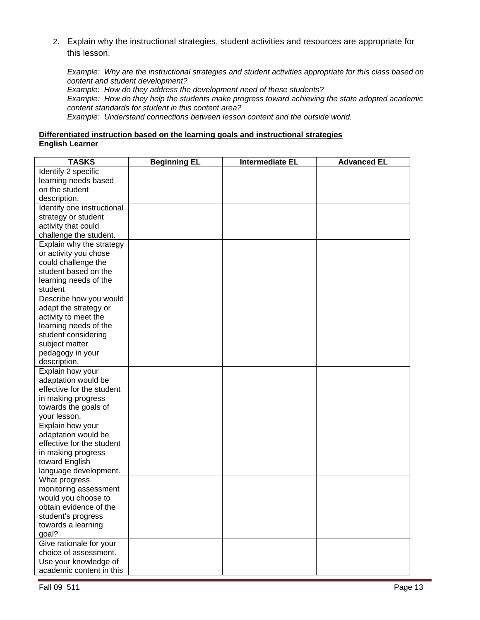2. Explain why the instructional strategies, student activities and resources are appropriate for this lesson.

*Example: Why are the instructional strategies and student activities appropriate for this class based on content and student development?* 

*Example: How do they address the development need of these students?*

*Example: How do they help the students make progress toward achieving the state adopted academic content standards for student in this content area?*

*Example: Understand connections between lesson content and the outside world.* 

# **Differentiated instruction based on the learning goals and instructional strategies English Learner**

| <b>TASKS</b>               | <b>Beginning EL</b> | <b>Intermediate EL</b> | <b>Advanced EL</b> |
|----------------------------|---------------------|------------------------|--------------------|
| Identify 2 specific        |                     |                        |                    |
| learning needs based       |                     |                        |                    |
| on the student             |                     |                        |                    |
| description.               |                     |                        |                    |
| Identify one instructional |                     |                        |                    |
| strategy or student        |                     |                        |                    |
| activity that could        |                     |                        |                    |
| challenge the student.     |                     |                        |                    |
| Explain why the strategy   |                     |                        |                    |
| or activity you chose      |                     |                        |                    |
| could challenge the        |                     |                        |                    |
| student based on the       |                     |                        |                    |
| learning needs of the      |                     |                        |                    |
| student                    |                     |                        |                    |
| Describe how you would     |                     |                        |                    |
| adapt the strategy or      |                     |                        |                    |
| activity to meet the       |                     |                        |                    |
| learning needs of the      |                     |                        |                    |
| student considering        |                     |                        |                    |
| subject matter             |                     |                        |                    |
| pedagogy in your           |                     |                        |                    |
| description.               |                     |                        |                    |
| Explain how your           |                     |                        |                    |
| adaptation would be        |                     |                        |                    |
| effective for the student  |                     |                        |                    |
| in making progress         |                     |                        |                    |
| towards the goals of       |                     |                        |                    |
| your lesson.               |                     |                        |                    |
| Explain how your           |                     |                        |                    |
| adaptation would be        |                     |                        |                    |
| effective for the student  |                     |                        |                    |
| in making progress         |                     |                        |                    |
| toward English             |                     |                        |                    |
| language development.      |                     |                        |                    |
| What progress              |                     |                        |                    |
| monitoring assessment      |                     |                        |                    |
| would you choose to        |                     |                        |                    |
| obtain evidence of the     |                     |                        |                    |
| student's progress         |                     |                        |                    |
| towards a learning         |                     |                        |                    |
| goal?                      |                     |                        |                    |
| Give rationale for your    |                     |                        |                    |
| choice of assessment.      |                     |                        |                    |
| Use your knowledge of      |                     |                        |                    |
| academic content in this   |                     |                        |                    |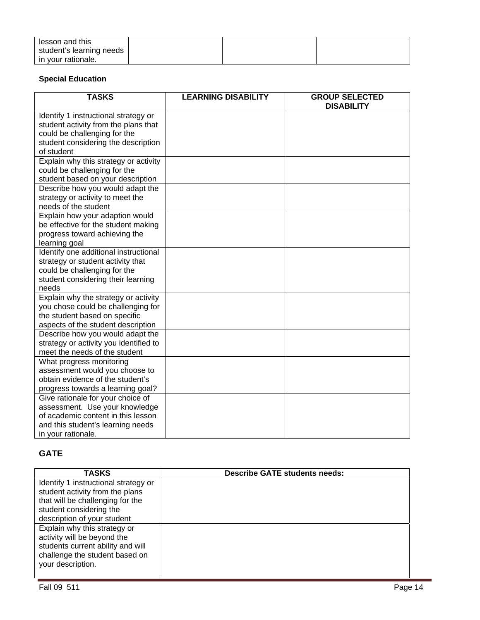| lesson and this          |  |  |
|--------------------------|--|--|
| student's learning needs |  |  |
| in your rationale.       |  |  |

# **Special Education**

| <b>TASKS</b>                           | <b>LEARNING DISABILITY</b> | <b>GROUP SELECTED</b><br><b>DISABILITY</b> |
|----------------------------------------|----------------------------|--------------------------------------------|
| Identify 1 instructional strategy or   |                            |                                            |
| student activity from the plans that   |                            |                                            |
| could be challenging for the           |                            |                                            |
| student considering the description    |                            |                                            |
| of student                             |                            |                                            |
| Explain why this strategy or activity  |                            |                                            |
| could be challenging for the           |                            |                                            |
| student based on your description      |                            |                                            |
| Describe how you would adapt the       |                            |                                            |
| strategy or activity to meet the       |                            |                                            |
| needs of the student                   |                            |                                            |
| Explain how your adaption would        |                            |                                            |
| be effective for the student making    |                            |                                            |
| progress toward achieving the          |                            |                                            |
| learning goal                          |                            |                                            |
| Identify one additional instructional  |                            |                                            |
| strategy or student activity that      |                            |                                            |
| could be challenging for the           |                            |                                            |
| student considering their learning     |                            |                                            |
| needs                                  |                            |                                            |
| Explain why the strategy or activity   |                            |                                            |
| you chose could be challenging for     |                            |                                            |
| the student based on specific          |                            |                                            |
| aspects of the student description     |                            |                                            |
| Describe how you would adapt the       |                            |                                            |
| strategy or activity you identified to |                            |                                            |
| meet the needs of the student          |                            |                                            |
| What progress monitoring               |                            |                                            |
| assessment would you choose to         |                            |                                            |
| obtain evidence of the student's       |                            |                                            |
| progress towards a learning goal?      |                            |                                            |
| Give rationale for your choice of      |                            |                                            |
| assessment. Use your knowledge         |                            |                                            |
| of academic content in this lesson     |                            |                                            |
| and this student's learning needs      |                            |                                            |
| in your rationale.                     |                            |                                            |

# **GATE**

| <b>TASKS</b>                         | <b>Describe GATE students needs:</b> |
|--------------------------------------|--------------------------------------|
| Identify 1 instructional strategy or |                                      |
| student activity from the plans      |                                      |
| that will be challenging for the     |                                      |
| student considering the              |                                      |
| description of your student          |                                      |
| Explain why this strategy or         |                                      |
| activity will be beyond the          |                                      |
| students current ability and will    |                                      |
| challenge the student based on       |                                      |
| your description.                    |                                      |
|                                      |                                      |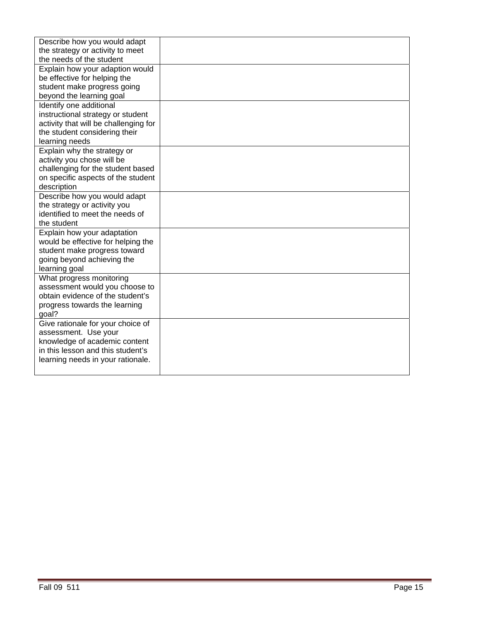| Describe how you would adapt                              |  |
|-----------------------------------------------------------|--|
| the strategy or activity to meet                          |  |
| the needs of the student                                  |  |
| Explain how your adaption would                           |  |
| be effective for helping the                              |  |
| student make progress going                               |  |
| beyond the learning goal                                  |  |
| Identify one additional                                   |  |
| instructional strategy or student                         |  |
| activity that will be challenging for                     |  |
| the student considering their                             |  |
| learning needs                                            |  |
| Explain why the strategy or                               |  |
| activity you chose will be                                |  |
| challenging for the student based                         |  |
| on specific aspects of the student                        |  |
| description                                               |  |
| Describe how you would adapt                              |  |
| the strategy or activity you                              |  |
| identified to meet the needs of                           |  |
| the student                                               |  |
| Explain how your adaptation                               |  |
| would be effective for helping the                        |  |
| student make progress toward                              |  |
| going beyond achieving the                                |  |
| learning goal                                             |  |
| What progress monitoring                                  |  |
| assessment would you choose to                            |  |
| obtain evidence of the student's                          |  |
| progress towards the learning                             |  |
| goal?                                                     |  |
| Give rationale for your choice of<br>assessment. Use your |  |
| knowledge of academic content                             |  |
| in this lesson and this student's                         |  |
| learning needs in your rationale.                         |  |
|                                                           |  |
|                                                           |  |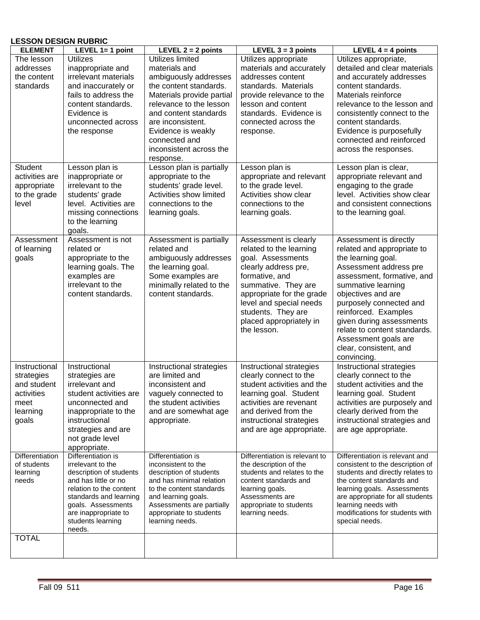#### **LESSON DESIGN RUBRIC**

| <b>ELEMENT</b>                 | LEVEL $1=1$ point                            | LEVEL $2 = 2$ points                           | LEVEL $3 = 3$ points                                  | LEVEL $4 = 4$ points                                                 |
|--------------------------------|----------------------------------------------|------------------------------------------------|-------------------------------------------------------|----------------------------------------------------------------------|
| The lesson                     | <b>Utilizes</b>                              | Utilizes limited                               | Utilizes appropriate                                  | Utilizes appropriate,                                                |
| addresses                      | inappropriate and                            | materials and                                  | materials and accurately                              | detailed and clear materials                                         |
| the content                    | irrelevant materials                         | ambiguously addresses                          | addresses content                                     | and accurately addresses                                             |
| standards                      | and inaccurately or                          | the content standards.                         | standards. Materials                                  | content standards.                                                   |
|                                | fails to address the                         | Materials provide partial                      | provide relevance to the                              | Materials reinforce                                                  |
|                                | content standards.                           | relevance to the lesson                        | lesson and content                                    | relevance to the lesson and                                          |
|                                | Evidence is                                  | and content standards                          | standards. Evidence is                                | consistently connect to the                                          |
|                                | unconnected across                           | are inconsistent.                              | connected across the                                  | content standards.                                                   |
|                                | the response                                 | Evidence is weakly                             | response.                                             | Evidence is purposefully                                             |
|                                |                                              | connected and                                  |                                                       | connected and reinforced                                             |
|                                |                                              | inconsistent across the                        |                                                       | across the responses.                                                |
|                                |                                              | response.                                      |                                                       |                                                                      |
| <b>Student</b>                 | Lesson plan is                               | Lesson plan is partially                       | Lesson plan is                                        | Lesson plan is clear,                                                |
| activities are                 | inappropriate or                             | appropriate to the                             | appropriate and relevant                              | appropriate relevant and                                             |
| appropriate                    | irrelevant to the                            | students' grade level.                         | to the grade level.                                   | engaging to the grade                                                |
| to the grade                   | students' grade                              | Activities show limited                        | Activities show clear                                 | level. Activities show clear                                         |
| level                          | level. Activities are                        | connections to the                             | connections to the                                    | and consistent connections                                           |
|                                | missing connections                          | learning goals.                                | learning goals.                                       | to the learning goal.                                                |
|                                | to the learning                              |                                                |                                                       |                                                                      |
|                                | goals.                                       |                                                |                                                       |                                                                      |
| Assessment                     | Assessment is not                            | Assessment is partially                        | Assessment is clearly                                 | Assessment is directly                                               |
| of learning                    | related or                                   | related and                                    | related to the learning                               | related and appropriate to                                           |
| goals                          | appropriate to the                           | ambiguously addresses                          | goal. Assessments                                     | the learning goal.                                                   |
|                                | learning goals. The                          | the learning goal.                             | clearly address pre,                                  | Assessment address pre                                               |
|                                | examples are                                 | Some examples are                              | formative, and                                        | assessment, formative, and                                           |
|                                | irrelevant to the                            | minimally related to the                       | summative. They are                                   | summative learning                                                   |
|                                | content standards.                           | content standards.                             | appropriate for the grade                             | objectives and are                                                   |
|                                |                                              |                                                | level and special needs                               | purposely connected and                                              |
|                                |                                              |                                                | students. They are                                    | reinforced. Examples                                                 |
|                                |                                              |                                                | placed appropriately in                               | given during assessments                                             |
|                                |                                              |                                                | the lesson.                                           | relate to content standards.                                         |
|                                |                                              |                                                |                                                       | Assessment goals are                                                 |
|                                |                                              |                                                |                                                       | clear, consistent, and                                               |
|                                |                                              |                                                |                                                       | convincing.                                                          |
| Instructional                  | Instructional                                | Instructional strategies                       | Instructional strategies                              | <b>Instructional strategies</b>                                      |
| strategies                     | strategies are                               | are limited and                                | clearly connect to the                                | clearly connect to the                                               |
| and student                    | irrelevant and                               | inconsistent and                               | student activities and the                            | student activities and the                                           |
| activities                     | student activities are                       | vaguely connected to                           | learning goal. Student                                | learning goal. Student                                               |
| meet                           | unconnected and                              | the student activities                         | activities are revenant                               | activities are purposely and                                         |
| learning                       | inappropriate to the                         | and are somewhat age                           | and derived from the                                  | clearly derived from the                                             |
| goals                          | instructional                                | appropriate.                                   | instructional strategies                              | instructional strategies and                                         |
|                                | strategies and are                           |                                                | and are age appropriate.                              | are age appropriate.                                                 |
|                                | not grade level                              |                                                |                                                       |                                                                      |
|                                | appropriate.                                 |                                                |                                                       |                                                                      |
| Differentiation<br>of students | Differentiation is                           | Differentiation is                             | Differentiation is relevant to                        | Differentiation is relevant and                                      |
| learning                       | irrelevant to the<br>description of students | inconsistent to the<br>description of students | the description of the<br>students and relates to the | consistent to the description of<br>students and directly relates to |
| needs                          | and has little or no                         | and has minimal relation                       | content standards and                                 | the content standards and                                            |
|                                | relation to the content                      | to the content standards                       | learning goals.                                       | learning goals. Assessments                                          |
|                                | standards and learning                       | and learning goals.                            | Assessments are                                       | are appropriate for all students                                     |
|                                | goals. Assessments                           | Assessments are partially                      | appropriate to students                               | learning needs with                                                  |
|                                | are inappropriate to                         | appropriate to students                        | learning needs.                                       | modifications for students with                                      |
|                                | students learning                            | learning needs.                                |                                                       | special needs.                                                       |
|                                | needs.                                       |                                                |                                                       |                                                                      |
| <b>TOTAL</b>                   |                                              |                                                |                                                       |                                                                      |
|                                |                                              |                                                |                                                       |                                                                      |
|                                |                                              |                                                |                                                       |                                                                      |
|                                |                                              |                                                |                                                       |                                                                      |
| Fall 09 511                    |                                              |                                                |                                                       | Page 16                                                              |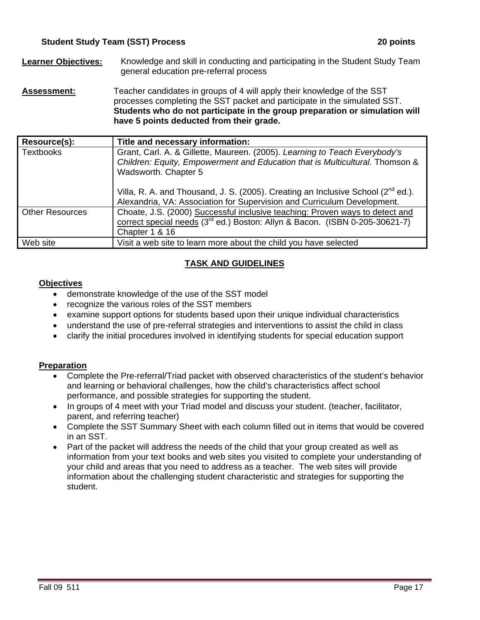- **Learner Objectives:** Knowledge and skill in conducting and participating in the Student Study Team general education pre-referral process
- **Assessment:** Teacher candidates in groups of 4 will apply their knowledge of the SST processes completing the SST packet and participate in the simulated SST. **Students who do not participate in the group preparation or simulation will have 5 points deducted from their grade.**

| Resource(s):           | Title and necessary information:                                                                                                                                                          |  |
|------------------------|-------------------------------------------------------------------------------------------------------------------------------------------------------------------------------------------|--|
| <b>Textbooks</b>       | Grant, Carl. A. & Gillette, Maureen. (2005). Learning to Teach Everybody's<br>Children: Equity, Empowerment and Education that is Multicultural. Thomson &<br>Wadsworth. Chapter 5        |  |
|                        | Villa, R. A. and Thousand, J. S. (2005). Creating an Inclusive School ( $2^{nd}$ ed.).<br>Alexandria, VA: Association for Supervision and Curriculum Development.                         |  |
| <b>Other Resources</b> | Choate, J.S. (2000) Successful inclusive teaching: Proven ways to detect and<br>correct special needs (3 <sup>rd</sup> ed.) Boston: Allyn & Bacon. (ISBN 0-205-30621-7)<br>Chapter 1 & 16 |  |
| Web site               | Visit a web site to learn more about the child you have selected                                                                                                                          |  |

# **TASK AND GUIDELINES**

# **Objectives**

- demonstrate knowledge of the use of the SST model
- recognize the various roles of the SST members
- examine support options for students based upon their unique individual characteristics
- understand the use of pre-referral strategies and interventions to assist the child in class
- clarify the initial procedures involved in identifying students for special education support

# **Preparation**

- Complete the Pre-referral/Triad packet with observed characteristics of the student's behavior and learning or behavioral challenges, how the child's characteristics affect school performance, and possible strategies for supporting the student.
- In groups of 4 meet with your Triad model and discuss your student. (teacher, facilitator, parent, and referring teacher)
- Complete the SST Summary Sheet with each column filled out in items that would be covered in an SST.
- Part of the packet will address the needs of the child that your group created as well as information from your text books and web sites you visited to complete your understanding of your child and areas that you need to address as a teacher. The web sites will provide information about the challenging student characteristic and strategies for supporting the student.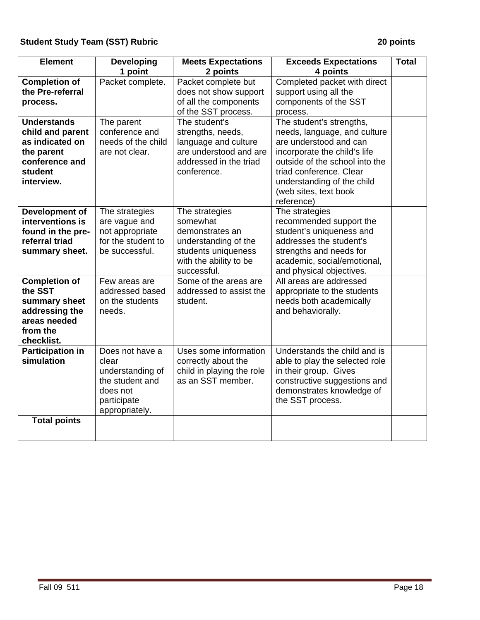| <b>Element</b>                                                                                                     | <b>Developing</b><br>1 point                                                                                 | <b>Meets Expectations</b><br>2 points                                                                                                 | <b>Exceeds Expectations</b><br>4 points                                                                                                                                                                                                              | <b>Total</b> |
|--------------------------------------------------------------------------------------------------------------------|--------------------------------------------------------------------------------------------------------------|---------------------------------------------------------------------------------------------------------------------------------------|------------------------------------------------------------------------------------------------------------------------------------------------------------------------------------------------------------------------------------------------------|--------------|
| <b>Completion of</b><br>the Pre-referral<br>process.                                                               | Packet complete.                                                                                             | Packet complete but<br>does not show support<br>of all the components<br>of the SST process.                                          | Completed packet with direct<br>support using all the<br>components of the SST<br>process.                                                                                                                                                           |              |
| <b>Understands</b><br>child and parent<br>as indicated on<br>the parent<br>conference and<br>student<br>interview. | The parent<br>conference and<br>needs of the child<br>are not clear.                                         | The student's<br>strengths, needs,<br>language and culture<br>are understood and are<br>addressed in the triad<br>conference.         | The student's strengths,<br>needs, language, and culture<br>are understood and can<br>incorporate the child's life<br>outside of the school into the<br>triad conference. Clear<br>understanding of the child<br>(web sites, text book<br>reference) |              |
| <b>Development of</b><br>interventions is<br>found in the pre-<br>referral triad<br>summary sheet.                 | The strategies<br>are vague and<br>not appropriate<br>for the student to<br>be successful.                   | The strategies<br>somewhat<br>demonstrates an<br>understanding of the<br>students uniqueness<br>with the ability to be<br>successful. | The strategies<br>recommended support the<br>student's uniqueness and<br>addresses the student's<br>strengths and needs for<br>academic, social/emotional,<br>and physical objectives.                                                               |              |
| <b>Completion of</b><br>the SST<br>summary sheet<br>addressing the<br>areas needed<br>from the<br>checklist.       | Few areas are<br>addressed based<br>on the students<br>needs.                                                | Some of the areas are<br>addressed to assist the<br>student.                                                                          | All areas are addressed<br>appropriate to the students<br>needs both academically<br>and behaviorally.                                                                                                                                               |              |
| <b>Participation in</b><br>simulation                                                                              | Does not have a<br>clear<br>understanding of<br>the student and<br>does not<br>participate<br>appropriately. | Uses some information<br>correctly about the<br>child in playing the role<br>as an SST member.                                        | Understands the child and is<br>able to play the selected role<br>in their group. Gives<br>constructive suggestions and<br>demonstrates knowledge of<br>the SST process.                                                                             |              |
| <b>Total points</b>                                                                                                |                                                                                                              |                                                                                                                                       |                                                                                                                                                                                                                                                      |              |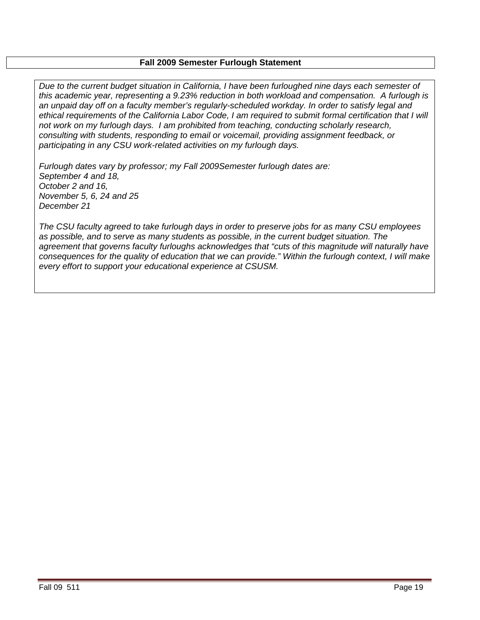# **Fall 2009 Semester Furlough Statement**

*Due to the current budget situation in California, I have been furloughed nine days each semester of this academic year, representing a 9.23% reduction in both workload and compensation. A furlough is an unpaid day off on a faculty member's regularly-scheduled workday. In order to satisfy legal and ethical requirements of the California Labor Code, I am required to submit formal certification that I will not work on my furlough days. I am prohibited from teaching, conducting scholarly research, consulting with students, responding to email or voicemail, providing assignment feedback, or participating in any CSU work-related activities on my furlough days.* 

 *November 5, 6, 24 and 25 Furlough dates vary by professor; my Fall 2009Semester furlough dates are: September 4 and 18, October 2 and 16, December 21*

*The CSU faculty agreed to take furlough days in order to preserve jobs for as many CSU employees as possible, and to serve as many students as possible, in the current budget situation. The agreement that governs faculty furloughs acknowledges that "cuts of this magnitude will naturally have consequences for the quality of education that we can provide." Within the furlough context, I will make every effort to support your educational experience at CSUSM.*